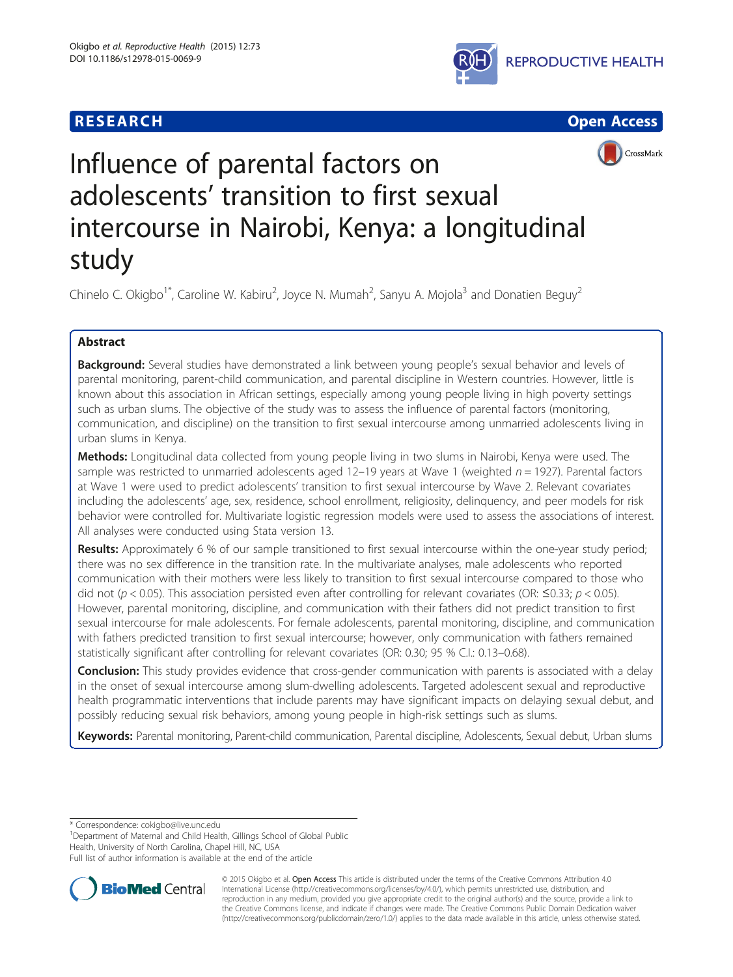







# Influence of parental factors on adolescents' transition to first sexual intercourse in Nairobi, Kenya: a longitudinal study

Chinelo C. Okigbo<sup>1\*</sup>, Caroline W. Kabiru<sup>2</sup>, Joyce N. Mumah<sup>2</sup>, Sanyu A. Mojola<sup>3</sup> and Donatien Beguy<sup>2</sup>

# Abstract

Background: Several studies have demonstrated a link between young people's sexual behavior and levels of parental monitoring, parent-child communication, and parental discipline in Western countries. However, little is known about this association in African settings, especially among young people living in high poverty settings such as urban slums. The objective of the study was to assess the influence of parental factors (monitoring, communication, and discipline) on the transition to first sexual intercourse among unmarried adolescents living in urban slums in Kenya.

Methods: Longitudinal data collected from young people living in two slums in Nairobi, Kenya were used. The sample was restricted to unmarried adolescents aged 12–19 years at Wave 1 (weighted  $n = 1927$ ). Parental factors at Wave 1 were used to predict adolescents' transition to first sexual intercourse by Wave 2. Relevant covariates including the adolescents' age, sex, residence, school enrollment, religiosity, delinquency, and peer models for risk behavior were controlled for. Multivariate logistic regression models were used to assess the associations of interest. All analyses were conducted using Stata version 13.

Results: Approximately 6 % of our sample transitioned to first sexual intercourse within the one-year study period; there was no sex difference in the transition rate. In the multivariate analyses, male adolescents who reported communication with their mothers were less likely to transition to first sexual intercourse compared to those who did not ( $p$  < 0.05). This association persisted even after controlling for relevant covariates (OR:  $\leq$ 0.33;  $p$  < 0.05). However, parental monitoring, discipline, and communication with their fathers did not predict transition to first sexual intercourse for male adolescents. For female adolescents, parental monitoring, discipline, and communication with fathers predicted transition to first sexual intercourse; however, only communication with fathers remained statistically significant after controlling for relevant covariates (OR: 0.30; 95 % C.I.: 0.13–0.68).

Conclusion: This study provides evidence that cross-gender communication with parents is associated with a delay in the onset of sexual intercourse among slum-dwelling adolescents. Targeted adolescent sexual and reproductive health programmatic interventions that include parents may have significant impacts on delaying sexual debut, and possibly reducing sexual risk behaviors, among young people in high-risk settings such as slums.

Keywords: Parental monitoring, Parent-child communication, Parental discipline, Adolescents, Sexual debut, Urban slums

\* Correspondence: [cokigbo@live.unc.edu](mailto:cokigbo@live.unc.edu) <sup>1</sup>

<sup>1</sup>Department of Maternal and Child Health, Gillings School of Global Public

Health, University of North Carolina, Chapel Hill, NC, USA

Full list of author information is available at the end of the article



© 2015 Okigbo et al. Open Access This article is distributed under the terms of the Creative Commons Attribution 4.0 International License [\(http://creativecommons.org/licenses/by/4.0/](http://creativecommons.org/licenses/by/4.0/)), which permits unrestricted use, distribution, and reproduction in any medium, provided you give appropriate credit to the original author(s) and the source, provide a link to the Creative Commons license, and indicate if changes were made. The Creative Commons Public Domain Dedication waiver [\(http://creativecommons.org/publicdomain/zero/1.0/](http://creativecommons.org/publicdomain/zero/1.0/)) applies to the data made available in this article, unless otherwise stated.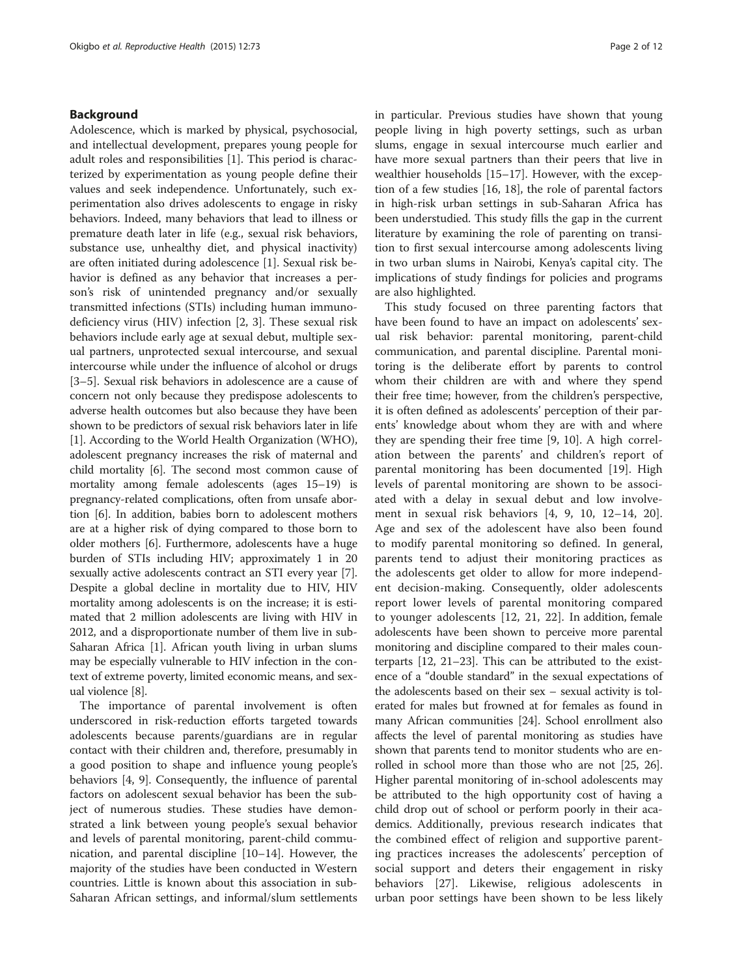## Background

Adolescence, which is marked by physical, psychosocial, and intellectual development, prepares young people for adult roles and responsibilities [[1\]](#page-10-0). This period is characterized by experimentation as young people define their values and seek independence. Unfortunately, such experimentation also drives adolescents to engage in risky behaviors. Indeed, many behaviors that lead to illness or premature death later in life (e.g., sexual risk behaviors, substance use, unhealthy diet, and physical inactivity) are often initiated during adolescence [[1\]](#page-10-0). Sexual risk behavior is defined as any behavior that increases a person's risk of unintended pregnancy and/or sexually transmitted infections (STIs) including human immunodeficiency virus (HIV) infection [[2, 3](#page-10-0)]. These sexual risk behaviors include early age at sexual debut, multiple sexual partners, unprotected sexual intercourse, and sexual intercourse while under the influence of alcohol or drugs [[3](#page-10-0)–[5\]](#page-10-0). Sexual risk behaviors in adolescence are a cause of concern not only because they predispose adolescents to adverse health outcomes but also because they have been shown to be predictors of sexual risk behaviors later in life [[1\]](#page-10-0). According to the World Health Organization (WHO), adolescent pregnancy increases the risk of maternal and child mortality [[6](#page-10-0)]. The second most common cause of mortality among female adolescents (ages 15–19) is pregnancy-related complications, often from unsafe abortion [\[6\]](#page-10-0). In addition, babies born to adolescent mothers are at a higher risk of dying compared to those born to older mothers [[6\]](#page-10-0). Furthermore, adolescents have a huge burden of STIs including HIV; approximately 1 in 20 sexually active adolescents contract an STI every year [[7](#page-10-0)]. Despite a global decline in mortality due to HIV, HIV mortality among adolescents is on the increase; it is estimated that 2 million adolescents are living with HIV in 2012, and a disproportionate number of them live in sub-Saharan Africa [\[1\]](#page-10-0). African youth living in urban slums may be especially vulnerable to HIV infection in the context of extreme poverty, limited economic means, and sexual violence [[8\]](#page-10-0).

The importance of parental involvement is often underscored in risk-reduction efforts targeted towards adolescents because parents/guardians are in regular contact with their children and, therefore, presumably in a good position to shape and influence young people's behaviors [\[4](#page-10-0), [9\]](#page-10-0). Consequently, the influence of parental factors on adolescent sexual behavior has been the subject of numerous studies. These studies have demonstrated a link between young people's sexual behavior and levels of parental monitoring, parent-child communication, and parental discipline [[10](#page-10-0)–[14](#page-10-0)]. However, the majority of the studies have been conducted in Western countries. Little is known about this association in sub-Saharan African settings, and informal/slum settlements in particular. Previous studies have shown that young people living in high poverty settings, such as urban slums, engage in sexual intercourse much earlier and have more sexual partners than their peers that live in wealthier households [\[15](#page-10-0)–[17\]](#page-10-0). However, with the exception of a few studies [[16, 18\]](#page-10-0), the role of parental factors in high-risk urban settings in sub-Saharan Africa has been understudied. This study fills the gap in the current literature by examining the role of parenting on transition to first sexual intercourse among adolescents living in two urban slums in Nairobi, Kenya's capital city. The implications of study findings for policies and programs are also highlighted.

This study focused on three parenting factors that have been found to have an impact on adolescents' sexual risk behavior: parental monitoring, parent-child communication, and parental discipline. Parental monitoring is the deliberate effort by parents to control whom their children are with and where they spend their free time; however, from the children's perspective, it is often defined as adolescents' perception of their parents' knowledge about whom they are with and where they are spending their free time [[9](#page-10-0), [10\]](#page-10-0). A high correlation between the parents' and children's report of parental monitoring has been documented [[19\]](#page-10-0). High levels of parental monitoring are shown to be associated with a delay in sexual debut and low involvement in sexual risk behaviors [[4](#page-10-0), [9, 10, 12](#page-10-0)–[14](#page-10-0), [20](#page-10-0)]. Age and sex of the adolescent have also been found to modify parental monitoring so defined. In general, parents tend to adjust their monitoring practices as the adolescents get older to allow for more independent decision-making. Consequently, older adolescents report lower levels of parental monitoring compared to younger adolescents [\[12](#page-10-0), [21, 22](#page-10-0)]. In addition, female adolescents have been shown to perceive more parental monitoring and discipline compared to their males counterparts [[12](#page-10-0), [21](#page-10-0)–[23](#page-10-0)]. This can be attributed to the existence of a "double standard" in the sexual expectations of the adolescents based on their sex – sexual activity is tolerated for males but frowned at for females as found in many African communities [\[24\]](#page-10-0). School enrollment also affects the level of parental monitoring as studies have shown that parents tend to monitor students who are enrolled in school more than those who are not [[25](#page-10-0), [26](#page-10-0)]. Higher parental monitoring of in-school adolescents may be attributed to the high opportunity cost of having a child drop out of school or perform poorly in their academics. Additionally, previous research indicates that the combined effect of religion and supportive parenting practices increases the adolescents' perception of social support and deters their engagement in risky behaviors [[27\]](#page-10-0). Likewise, religious adolescents in urban poor settings have been shown to be less likely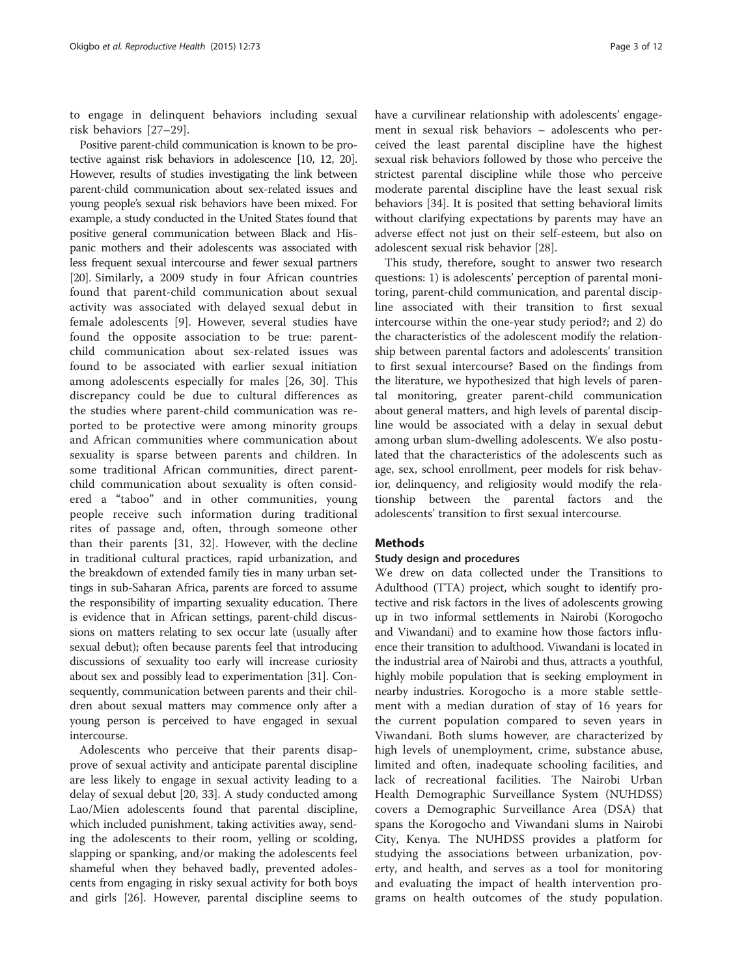to engage in delinquent behaviors including sexual risk behaviors [[27](#page-10-0)–[29\]](#page-10-0).

Positive parent-child communication is known to be protective against risk behaviors in adolescence [\[10, 12, 20](#page-10-0)]. However, results of studies investigating the link between parent-child communication about sex-related issues and young people's sexual risk behaviors have been mixed. For example, a study conducted in the United States found that positive general communication between Black and Hispanic mothers and their adolescents was associated with less frequent sexual intercourse and fewer sexual partners [[20](#page-10-0)]. Similarly, a 2009 study in four African countries found that parent-child communication about sexual activity was associated with delayed sexual debut in female adolescents [[9](#page-10-0)]. However, several studies have found the opposite association to be true: parentchild communication about sex-related issues was found to be associated with earlier sexual initiation among adolescents especially for males [[26, 30\]](#page-10-0). This discrepancy could be due to cultural differences as the studies where parent-child communication was reported to be protective were among minority groups and African communities where communication about sexuality is sparse between parents and children. In some traditional African communities, direct parentchild communication about sexuality is often considered a "taboo" and in other communities, young people receive such information during traditional rites of passage and, often, through someone other than their parents [[31, 32](#page-10-0)]. However, with the decline in traditional cultural practices, rapid urbanization, and the breakdown of extended family ties in many urban settings in sub-Saharan Africa, parents are forced to assume the responsibility of imparting sexuality education. There is evidence that in African settings, parent-child discussions on matters relating to sex occur late (usually after sexual debut); often because parents feel that introducing discussions of sexuality too early will increase curiosity about sex and possibly lead to experimentation [\[31\]](#page-10-0). Consequently, communication between parents and their children about sexual matters may commence only after a young person is perceived to have engaged in sexual intercourse.

Adolescents who perceive that their parents disapprove of sexual activity and anticipate parental discipline are less likely to engage in sexual activity leading to a delay of sexual debut [\[20, 33\]](#page-10-0). A study conducted among Lao/Mien adolescents found that parental discipline, which included punishment, taking activities away, sending the adolescents to their room, yelling or scolding, slapping or spanking, and/or making the adolescents feel shameful when they behaved badly, prevented adolescents from engaging in risky sexual activity for both boys and girls [[26\]](#page-10-0). However, parental discipline seems to have a curvilinear relationship with adolescents' engagement in sexual risk behaviors – adolescents who perceived the least parental discipline have the highest sexual risk behaviors followed by those who perceive the strictest parental discipline while those who perceive moderate parental discipline have the least sexual risk behaviors [[34\]](#page-10-0). It is posited that setting behavioral limits without clarifying expectations by parents may have an adverse effect not just on their self-esteem, but also on adolescent sexual risk behavior [[28\]](#page-10-0).

This study, therefore, sought to answer two research questions: 1) is adolescents' perception of parental monitoring, parent-child communication, and parental discipline associated with their transition to first sexual intercourse within the one-year study period?; and 2) do the characteristics of the adolescent modify the relationship between parental factors and adolescents' transition to first sexual intercourse? Based on the findings from the literature, we hypothesized that high levels of parental monitoring, greater parent-child communication about general matters, and high levels of parental discipline would be associated with a delay in sexual debut among urban slum-dwelling adolescents. We also postulated that the characteristics of the adolescents such as age, sex, school enrollment, peer models for risk behavior, delinquency, and religiosity would modify the relationship between the parental factors and the adolescents' transition to first sexual intercourse.

## Methods

## Study design and procedures

We drew on data collected under the Transitions to Adulthood (TTA) project, which sought to identify protective and risk factors in the lives of adolescents growing up in two informal settlements in Nairobi (Korogocho and Viwandani) and to examine how those factors influence their transition to adulthood. Viwandani is located in the industrial area of Nairobi and thus, attracts a youthful, highly mobile population that is seeking employment in nearby industries. Korogocho is a more stable settlement with a median duration of stay of 16 years for the current population compared to seven years in Viwandani. Both slums however, are characterized by high levels of unemployment, crime, substance abuse, limited and often, inadequate schooling facilities, and lack of recreational facilities. The Nairobi Urban Health Demographic Surveillance System (NUHDSS) covers a Demographic Surveillance Area (DSA) that spans the Korogocho and Viwandani slums in Nairobi City, Kenya. The NUHDSS provides a platform for studying the associations between urbanization, poverty, and health, and serves as a tool for monitoring and evaluating the impact of health intervention programs on health outcomes of the study population.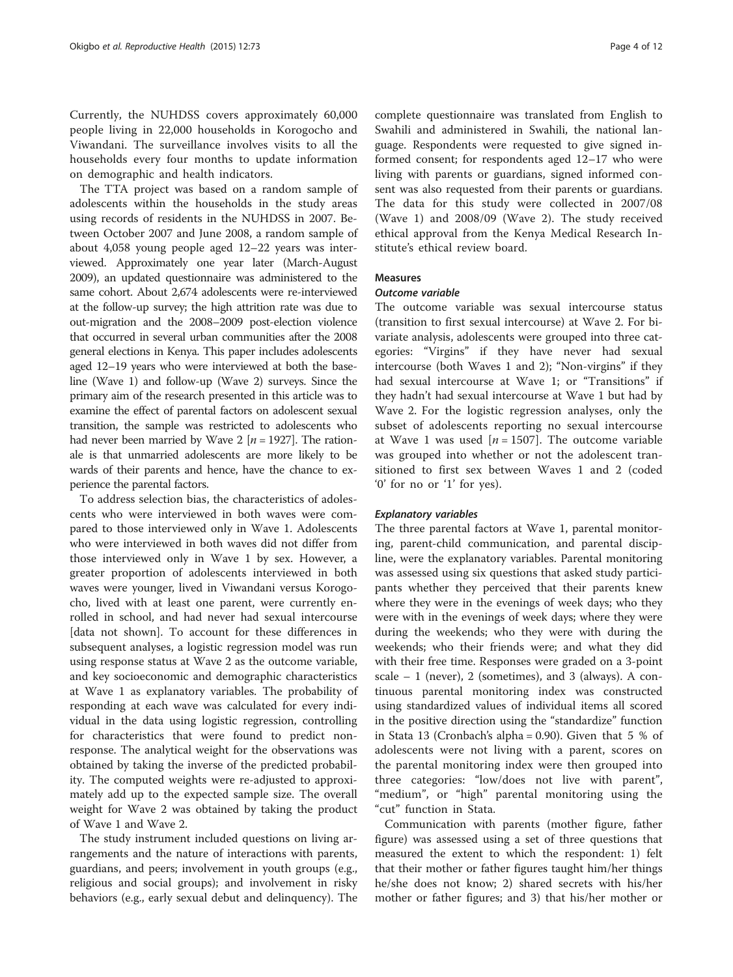Currently, the NUHDSS covers approximately 60,000 people living in 22,000 households in Korogocho and Viwandani. The surveillance involves visits to all the households every four months to update information on demographic and health indicators.

The TTA project was based on a random sample of adolescents within the households in the study areas using records of residents in the NUHDSS in 2007. Between October 2007 and June 2008, a random sample of about 4,058 young people aged 12–22 years was interviewed. Approximately one year later (March-August 2009), an updated questionnaire was administered to the same cohort. About 2,674 adolescents were re-interviewed at the follow-up survey; the high attrition rate was due to out-migration and the 2008–2009 post-election violence that occurred in several urban communities after the 2008 general elections in Kenya. This paper includes adolescents aged 12–19 years who were interviewed at both the baseline (Wave 1) and follow-up (Wave 2) surveys. Since the primary aim of the research presented in this article was to examine the effect of parental factors on adolescent sexual transition, the sample was restricted to adolescents who had never been married by Wave 2  $[n = 1927]$ . The rationale is that unmarried adolescents are more likely to be wards of their parents and hence, have the chance to experience the parental factors.

To address selection bias, the characteristics of adolescents who were interviewed in both waves were compared to those interviewed only in Wave 1. Adolescents who were interviewed in both waves did not differ from those interviewed only in Wave 1 by sex. However, a greater proportion of adolescents interviewed in both waves were younger, lived in Viwandani versus Korogocho, lived with at least one parent, were currently enrolled in school, and had never had sexual intercourse [data not shown]. To account for these differences in subsequent analyses, a logistic regression model was run using response status at Wave 2 as the outcome variable, and key socioeconomic and demographic characteristics at Wave 1 as explanatory variables. The probability of responding at each wave was calculated for every individual in the data using logistic regression, controlling for characteristics that were found to predict nonresponse. The analytical weight for the observations was obtained by taking the inverse of the predicted probability. The computed weights were re-adjusted to approximately add up to the expected sample size. The overall weight for Wave 2 was obtained by taking the product of Wave 1 and Wave 2.

The study instrument included questions on living arrangements and the nature of interactions with parents, guardians, and peers; involvement in youth groups (e.g., religious and social groups); and involvement in risky behaviors (e.g., early sexual debut and delinquency). The

complete questionnaire was translated from English to Swahili and administered in Swahili, the national language. Respondents were requested to give signed informed consent; for respondents aged 12–17 who were living with parents or guardians, signed informed consent was also requested from their parents or guardians. The data for this study were collected in 2007/08 (Wave 1) and 2008/09 (Wave 2). The study received ethical approval from the Kenya Medical Research Institute's ethical review board.

# Measures

# Outcome variable

The outcome variable was sexual intercourse status (transition to first sexual intercourse) at Wave 2. For bivariate analysis, adolescents were grouped into three categories: "Virgins" if they have never had sexual intercourse (both Waves 1 and 2); "Non-virgins" if they had sexual intercourse at Wave 1; or "Transitions" if they hadn't had sexual intercourse at Wave 1 but had by Wave 2. For the logistic regression analyses, only the subset of adolescents reporting no sexual intercourse at Wave 1 was used  $[n = 1507]$ . The outcome variable was grouped into whether or not the adolescent transitioned to first sex between Waves 1 and 2 (coded '0' for no or '1' for yes).

## Explanatory variables

The three parental factors at Wave 1, parental monitoring, parent-child communication, and parental discipline, were the explanatory variables. Parental monitoring was assessed using six questions that asked study participants whether they perceived that their parents knew where they were in the evenings of week days; who they were with in the evenings of week days; where they were during the weekends; who they were with during the weekends; who their friends were; and what they did with their free time. Responses were graded on a 3-point scale  $-1$  (never), 2 (sometimes), and 3 (always). A continuous parental monitoring index was constructed using standardized values of individual items all scored in the positive direction using the "standardize" function in Stata 13 (Cronbach's alpha = 0.90). Given that 5 % of adolescents were not living with a parent, scores on the parental monitoring index were then grouped into three categories: "low/does not live with parent", "medium", or "high" parental monitoring using the "cut" function in Stata.

Communication with parents (mother figure, father figure) was assessed using a set of three questions that measured the extent to which the respondent: 1) felt that their mother or father figures taught him/her things he/she does not know; 2) shared secrets with his/her mother or father figures; and 3) that his/her mother or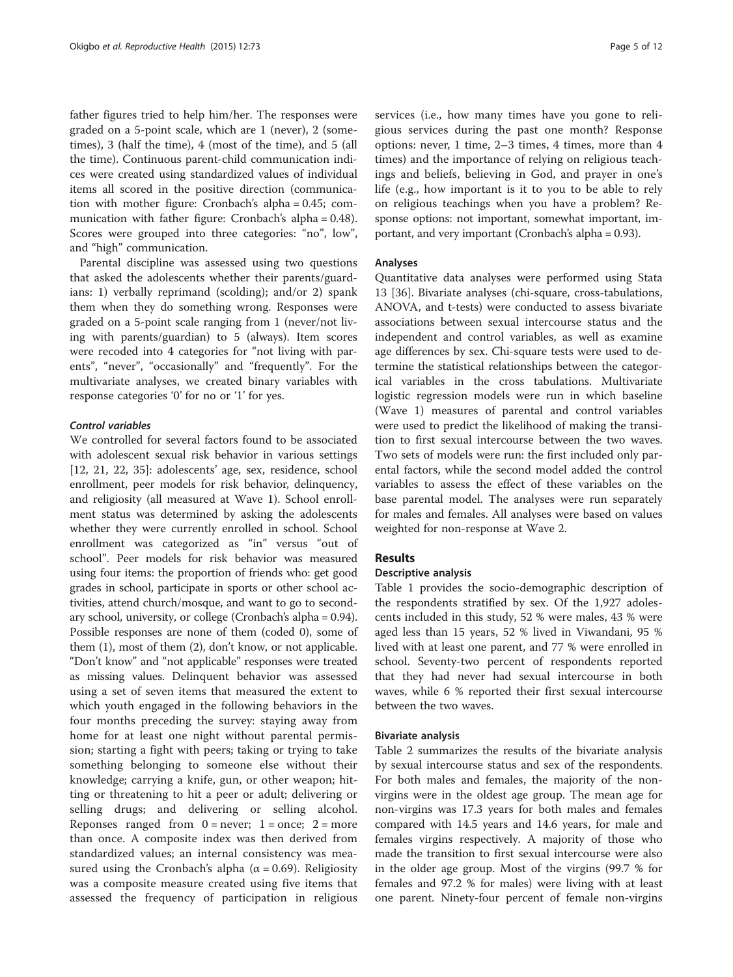father figures tried to help him/her. The responses were graded on a 5-point scale, which are 1 (never), 2 (sometimes), 3 (half the time), 4 (most of the time), and 5 (all the time). Continuous parent-child communication indices were created using standardized values of individual items all scored in the positive direction (communication with mother figure: Cronbach's alpha = 0.45; communication with father figure: Cronbach's alpha = 0.48). Scores were grouped into three categories: "no", low", and "high" communication.

Parental discipline was assessed using two questions that asked the adolescents whether their parents/guardians: 1) verbally reprimand (scolding); and/or 2) spank them when they do something wrong. Responses were graded on a 5-point scale ranging from 1 (never/not living with parents/guardian) to 5 (always). Item scores were recoded into 4 categories for "not living with parents", "never", "occasionally" and "frequently". For the multivariate analyses, we created binary variables with response categories '0' for no or '1' for yes.

## Control variables

We controlled for several factors found to be associated with adolescent sexual risk behavior in various settings [[12, 21, 22](#page-10-0), [35](#page-10-0)]: adolescents' age, sex, residence, school enrollment, peer models for risk behavior, delinquency, and religiosity (all measured at Wave 1). School enrollment status was determined by asking the adolescents whether they were currently enrolled in school. School enrollment was categorized as "in" versus "out of school". Peer models for risk behavior was measured using four items: the proportion of friends who: get good grades in school, participate in sports or other school activities, attend church/mosque, and want to go to secondary school, university, or college (Cronbach's alpha = 0.94). Possible responses are none of them (coded 0), some of them (1), most of them (2), don't know, or not applicable. "Don't know" and "not applicable" responses were treated as missing values. Delinquent behavior was assessed using a set of seven items that measured the extent to which youth engaged in the following behaviors in the four months preceding the survey: staying away from home for at least one night without parental permission; starting a fight with peers; taking or trying to take something belonging to someone else without their knowledge; carrying a knife, gun, or other weapon; hitting or threatening to hit a peer or adult; delivering or selling drugs; and delivering or selling alcohol. Reponses ranged from  $0 =$  never;  $1 =$  once;  $2 =$  more than once. A composite index was then derived from standardized values; an internal consistency was measured using the Cronbach's alpha ( $\alpha$  = 0.69). Religiosity was a composite measure created using five items that assessed the frequency of participation in religious

services (i.e., how many times have you gone to religious services during the past one month? Response options: never, 1 time, 2-3 times, 4 times, more than 4 times) and the importance of relying on religious teachings and beliefs, believing in God, and prayer in one's life (e.g., how important is it to you to be able to rely on religious teachings when you have a problem? Response options: not important, somewhat important, important, and very important (Cronbach's alpha = 0.93).

## Analyses

Quantitative data analyses were performed using Stata 13 [\[36\]](#page-10-0). Bivariate analyses (chi-square, cross-tabulations, ANOVA, and t-tests) were conducted to assess bivariate associations between sexual intercourse status and the independent and control variables, as well as examine age differences by sex. Chi-square tests were used to determine the statistical relationships between the categorical variables in the cross tabulations. Multivariate logistic regression models were run in which baseline (Wave 1) measures of parental and control variables were used to predict the likelihood of making the transition to first sexual intercourse between the two waves. Two sets of models were run: the first included only parental factors, while the second model added the control variables to assess the effect of these variables on the base parental model. The analyses were run separately for males and females. All analyses were based on values weighted for non-response at Wave 2.

# Results

# Descriptive analysis

Table [1](#page-5-0) provides the socio-demographic description of the respondents stratified by sex. Of the 1,927 adolescents included in this study, 52 % were males, 43 % were aged less than 15 years, 52 % lived in Viwandani, 95 % lived with at least one parent, and 77 % were enrolled in school. Seventy-two percent of respondents reported that they had never had sexual intercourse in both waves, while 6 % reported their first sexual intercourse between the two waves.

## Bivariate analysis

Table [2](#page-6-0) summarizes the results of the bivariate analysis by sexual intercourse status and sex of the respondents. For both males and females, the majority of the nonvirgins were in the oldest age group. The mean age for non-virgins was 17.3 years for both males and females compared with 14.5 years and 14.6 years, for male and females virgins respectively. A majority of those who made the transition to first sexual intercourse were also in the older age group. Most of the virgins (99.7 % for females and 97.2 % for males) were living with at least one parent. Ninety-four percent of female non-virgins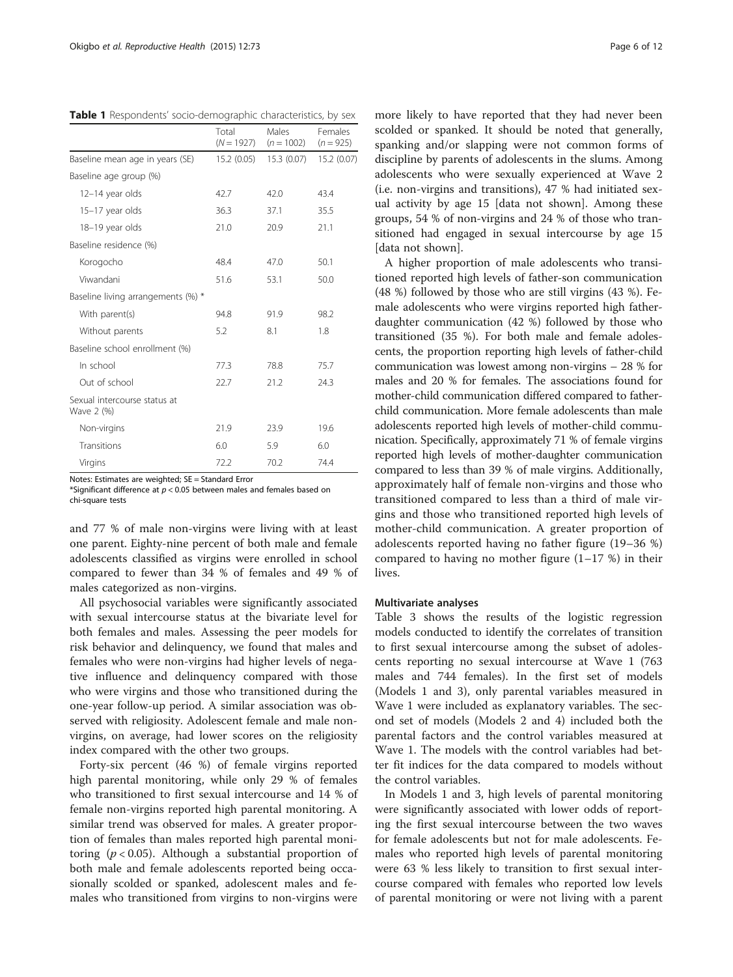<span id="page-5-0"></span>Table 1 Respondents' socio-demographic characteristics, by sex

|                                            | Total<br>$(N = 1927)$ | Males<br>$(n = 1002)$ | Females<br>$(n = 925)$ |
|--------------------------------------------|-----------------------|-----------------------|------------------------|
| Baseline mean age in years (SE)            | 15.2 (0.05)           | 15.3 (0.07)           | 15.2 (0.07)            |
| Baseline age group (%)                     |                       |                       |                        |
| 12-14 year olds                            | 42.7                  | 42.0                  | 43.4                   |
| 15-17 year olds                            | 36.3                  | 37.1                  | 35.5                   |
| 18-19 year olds                            | 21.0                  | 20.9                  | 21.1                   |
| Baseline residence (%)                     |                       |                       |                        |
| Korogocho                                  | 48.4                  | 47.0                  | 50.1                   |
| Viwandani                                  | 51.6                  | 53.1                  | 50.0                   |
| Baseline living arrangements (%) *         |                       |                       |                        |
| With parent(s)                             | 94.8                  | 91.9                  | 98.2                   |
| Without parents                            | 5.2                   | 8.1                   | 1.8                    |
| Baseline school enrollment (%)             |                       |                       |                        |
| In school                                  | 77.3                  | 78.8                  | 75.7                   |
| Out of school                              | 22.7                  | 21.2                  | 24.3                   |
| Sexual intercourse status at<br>Wave 2 (%) |                       |                       |                        |
| Non-virgins                                | 21.9                  | 23.9                  | 19.6                   |
| <b>Transitions</b>                         | 6.0                   | 5.9                   | 6.0                    |
| Virgins                                    | 72.2                  | 70.2                  | 74.4                   |

Notes: Estimates are weighted; SE = Standard Error

\*Significant difference at  $p < 0.05$  between males and females based on chi-square tests

and 77 % of male non-virgins were living with at least one parent. Eighty-nine percent of both male and female adolescents classified as virgins were enrolled in school compared to fewer than 34 % of females and 49 % of males categorized as non-virgins.

All psychosocial variables were significantly associated with sexual intercourse status at the bivariate level for both females and males. Assessing the peer models for risk behavior and delinquency, we found that males and females who were non-virgins had higher levels of negative influence and delinquency compared with those who were virgins and those who transitioned during the one-year follow-up period. A similar association was observed with religiosity. Adolescent female and male nonvirgins, on average, had lower scores on the religiosity index compared with the other two groups.

Forty-six percent (46 %) of female virgins reported high parental monitoring, while only 29 % of females who transitioned to first sexual intercourse and 14 % of female non-virgins reported high parental monitoring. A similar trend was observed for males. A greater proportion of females than males reported high parental monitoring ( $p < 0.05$ ). Although a substantial proportion of both male and female adolescents reported being occasionally scolded or spanked, adolescent males and females who transitioned from virgins to non-virgins were

more likely to have reported that they had never been scolded or spanked. It should be noted that generally, spanking and/or slapping were not common forms of discipline by parents of adolescents in the slums. Among adolescents who were sexually experienced at Wave 2 (i.e. non-virgins and transitions), 47 % had initiated sexual activity by age 15 [data not shown]. Among these groups, 54 % of non-virgins and 24 % of those who transitioned had engaged in sexual intercourse by age 15 [data not shown].

A higher proportion of male adolescents who transitioned reported high levels of father-son communication (48 %) followed by those who are still virgins (43 %). Female adolescents who were virgins reported high fatherdaughter communication (42 %) followed by those who transitioned (35 %). For both male and female adolescents, the proportion reporting high levels of father-child communication was lowest among non-virgins – 28 % for males and 20 % for females. The associations found for mother-child communication differed compared to fatherchild communication. More female adolescents than male adolescents reported high levels of mother-child communication. Specifically, approximately 71 % of female virgins reported high levels of mother-daughter communication compared to less than 39 % of male virgins. Additionally, approximately half of female non-virgins and those who transitioned compared to less than a third of male virgins and those who transitioned reported high levels of mother-child communication. A greater proportion of adolescents reported having no father figure (19–36 %) compared to having no mother figure  $(1-17 \%)$  in their lives.

# Multivariate analyses

Table [3](#page-7-0) shows the results of the logistic regression models conducted to identify the correlates of transition to first sexual intercourse among the subset of adolescents reporting no sexual intercourse at Wave 1 (763 males and 744 females). In the first set of models (Models 1 and 3), only parental variables measured in Wave 1 were included as explanatory variables. The second set of models (Models 2 and 4) included both the parental factors and the control variables measured at Wave 1. The models with the control variables had better fit indices for the data compared to models without the control variables.

In Models 1 and 3, high levels of parental monitoring were significantly associated with lower odds of reporting the first sexual intercourse between the two waves for female adolescents but not for male adolescents. Females who reported high levels of parental monitoring were 63 % less likely to transition to first sexual intercourse compared with females who reported low levels of parental monitoring or were not living with a parent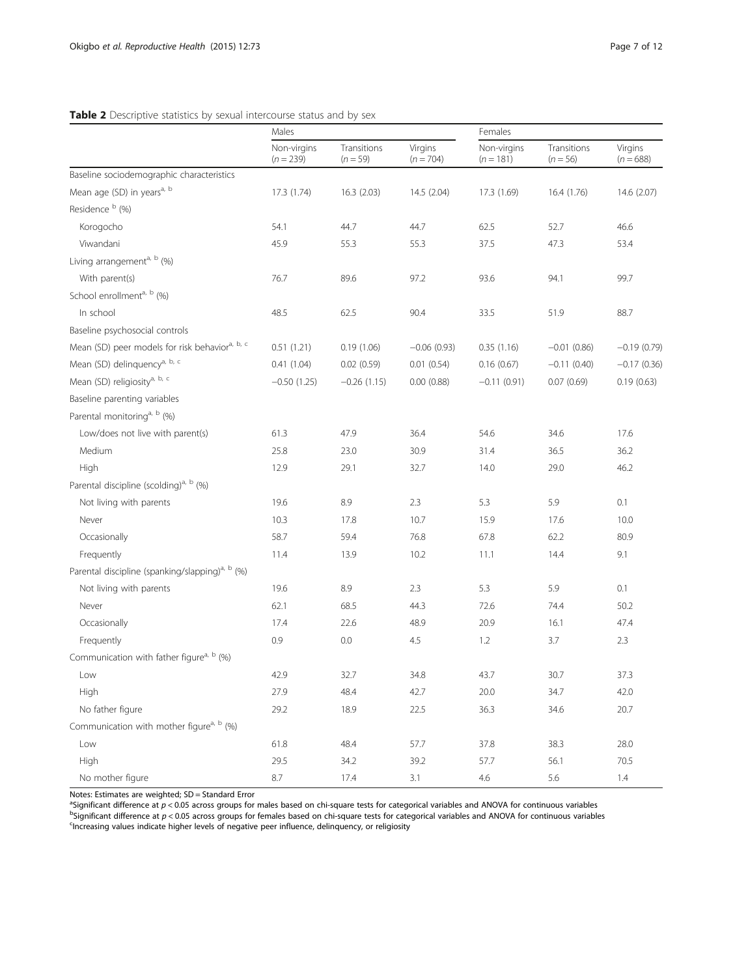# <span id="page-6-0"></span>Table 2 Descriptive statistics by sexual intercourse status and by sex

|                                                             | Males                      |                           |                        | Females                    |                           |                        |
|-------------------------------------------------------------|----------------------------|---------------------------|------------------------|----------------------------|---------------------------|------------------------|
|                                                             | Non-virgins<br>$(n = 239)$ | Transitions<br>$(n = 59)$ | Virgins<br>$(n = 704)$ | Non-virgins<br>$(n = 181)$ | Transitions<br>$(n = 56)$ | Virgins<br>$(n = 688)$ |
| Baseline sociodemographic characteristics                   |                            |                           |                        |                            |                           |                        |
| Mean age (SD) in years <sup>a, b</sup>                      | 17.3 (1.74)                | 16.3(2.03)                | 14.5 (2.04)            | 17.3 (1.69)                | 16.4 (1.76)               | 14.6 (2.07)            |
| Residence b (%)                                             |                            |                           |                        |                            |                           |                        |
| Korogocho                                                   | 54.1                       | 44.7                      | 44.7                   | 62.5                       | 52.7                      | 46.6                   |
| Viwandani                                                   | 45.9                       | 55.3                      | 55.3                   | 37.5                       | 47.3                      | 53.4                   |
| Living arrangement <sup>a, b</sup> (%)                      |                            |                           |                        |                            |                           |                        |
| With parent(s)                                              | 76.7                       | 89.6                      | 97.2                   | 93.6                       | 94.1                      | 99.7                   |
| School enrollment <sup>a, b</sup> (%)                       |                            |                           |                        |                            |                           |                        |
| In school                                                   | 48.5                       | 62.5                      | 90.4                   | 33.5                       | 51.9                      | 88.7                   |
| Baseline psychosocial controls                              |                            |                           |                        |                            |                           |                        |
| Mean (SD) peer models for risk behavior <sup>a, b, c</sup>  | 0.51(1.21)                 | 0.19(1.06)                | $-0.06(0.93)$          | 0.35(1.16)                 | $-0.01(0.86)$             | $-0.19(0.79)$          |
| Mean (SD) delinquency <sup>a, b, c</sup>                    | 0.41(1.04)                 | 0.02(0.59)                | 0.01(0.54)             | 0.16(0.67)                 | $-0.11(0.40)$             | $-0.17(0.36)$          |
| Mean (SD) religiosity <sup>a, b, c</sup>                    | $-0.50(1.25)$              | $-0.26(1.15)$             | 0.00(0.88)             | $-0.11(0.91)$              | 0.07(0.69)                | 0.19(0.63)             |
| Baseline parenting variables                                |                            |                           |                        |                            |                           |                        |
| Parental monitoring <sup>a, b</sup> (%)                     |                            |                           |                        |                            |                           |                        |
| Low/does not live with parent(s)                            | 61.3                       | 47.9                      | 36.4                   | 54.6                       | 34.6                      | 17.6                   |
| Medium                                                      | 25.8                       | 23.0                      | 30.9                   | 31.4                       | 36.5                      | 36.2                   |
| High                                                        | 12.9                       | 29.1                      | 32.7                   | 14.0                       | 29.0                      | 46.2                   |
| Parental discipline (scolding) <sup>a, b</sup> (%)          |                            |                           |                        |                            |                           |                        |
| Not living with parents                                     | 19.6                       | 8.9                       | 2.3                    | 5.3                        | 5.9                       | 0.1                    |
| Never                                                       | 10.3                       | 17.8                      | 10.7                   | 15.9                       | 17.6                      | 10.0                   |
| Occasionally                                                | 58.7                       | 59.4                      | 76.8                   | 67.8                       | 62.2                      | 80.9                   |
| Frequently                                                  | 11.4                       | 13.9                      | 10.2                   | 11.1                       | 14.4                      | 9.1                    |
| Parental discipline (spanking/slapping) <sup>a, b</sup> (%) |                            |                           |                        |                            |                           |                        |
| Not living with parents                                     | 19.6                       | 8.9                       | 2.3                    | 5.3                        | 5.9                       | 0.1                    |
| Never                                                       | 62.1                       | 68.5                      | 44.3                   | 72.6                       | 74.4                      | 50.2                   |
| Occasionally                                                | 17.4                       | 22.6                      | 48.9                   | 20.9                       | 16.1                      | 47.4                   |
| Frequently                                                  | 0.9                        | 0.0                       | 4.5                    | 1.2                        | 3.7                       | 2.3                    |
| Communication with father figure <sup>a, b</sup> (%)        |                            |                           |                        |                            |                           |                        |
| Low                                                         | 42.9                       | 32.7                      | 34.8                   | 43.7                       | 30.7                      | 37.3                   |
| High                                                        | 27.9                       | 48.4                      | 42.7                   | 20.0                       | 34.7                      | 42.0                   |
| No father figure                                            | 29.2                       | 18.9                      | 22.5                   | 36.3                       | 34.6                      | 20.7                   |
| Communication with mother figure <sup>a, b</sup> (%)        |                            |                           |                        |                            |                           |                        |
| Low                                                         | 61.8                       | 48.4                      | 57.7                   | 37.8                       | 38.3                      | 28.0                   |
| High                                                        | 29.5                       | 34.2                      | 39.2                   | 57.7                       | 56.1                      | 70.5                   |
| No mother figure                                            | 8.7                        | 17.4                      | 3.1                    | 4.6                        | 5.6                       | $1.4\,$                |

Notes: Estimates are weighted; SD = Standard Error

<sup>a</sup> Significant difference at  $p < 0.05$  across groups for males based on chi-square tests for categorical variables and ANOVA for continuous variables based on the state of the state for categorical variables and ANOVA fo

 $^{b}$ Significant difference at  $p < 0.05$  across groups for females based on chi-square tests for categorical variables and ANOVA for continuous variables continuous variables continuous variables continuous variables cont <sup>c</sup>Increasing values indicate higher levels of negative peer influence, delinquency, or religiosity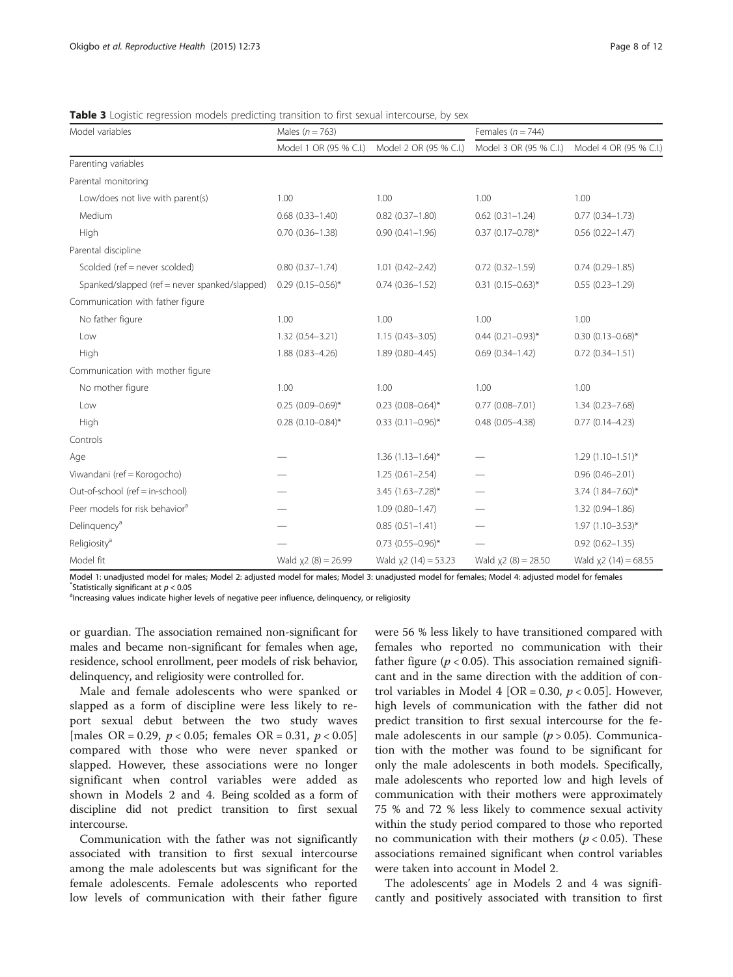<span id="page-7-0"></span>Table 3 Logistic regression models predicting transition to first sexual intercourse, by sex

| Model variables                               | Males ( $n = 763$ )       |                          | Females ( $n = 744$ )    |                        |
|-----------------------------------------------|---------------------------|--------------------------|--------------------------|------------------------|
|                                               | Model 1 OR (95 % C.I.)    | Model 2 OR (95 % C.I.)   | Model 3 OR (95 % C.I.)   | Model 4 OR (95 % C.I.) |
| Parenting variables                           |                           |                          |                          |                        |
| Parental monitoring                           |                           |                          |                          |                        |
| Low/does not live with parent(s)              | 1.00                      | 1.00                     | 1.00                     | 1.00                   |
| Medium                                        | $0.68$ $(0.33 - 1.40)$    | $0.82$ $(0.37 - 1.80)$   | $0.62$ $(0.31 - 1.24)$   | $0.77(0.34 - 1.73)$    |
| High                                          | $0.70(0.36 - 1.38)$       | $0.90(0.41 - 1.96)$      | $0.37$ (0.17-0.78)*      | $0.56(0.22 - 1.47)$    |
| Parental discipline                           |                           |                          |                          |                        |
| Scolded (ref = never scolded)                 | $0.80(0.37 - 1.74)$       | $1.01(0.42 - 2.42)$      | $0.72(0.32 - 1.59)$      | $0.74(0.29 - 1.85)$    |
| Spanked/slapped (ref = never spanked/slapped) | $0.29(0.15 - 0.56)^*$     | $0.74(0.36 - 1.52)$      | $0.31$ $(0.15 - 0.63)^*$ | $0.55(0.23 - 1.29)$    |
| Communication with father figure              |                           |                          |                          |                        |
| No father figure                              | 1.00                      | 1.00                     | 1.00                     | 1.00                   |
| Low                                           | 1.32 (0.54-3.21)          | $1.15(0.43 - 3.05)$      | $0.44$ $(0.21 - 0.93)$ * | $0.30(0.13 - 0.68)$ *  |
| High                                          | 1.88 (0.83-4.26)          | 1.89 (0.80-4.45)         | $0.69(0.34 - 1.42)$      | $0.72(0.34 - 1.51)$    |
| Communication with mother figure              |                           |                          |                          |                        |
| No mother figure                              | 1.00                      | 1.00                     | 1.00                     | 1.00                   |
| Low                                           | $0.25(0.09 - 0.69)^*$     | $0.23$ (0.08-0.64)*      | $0.77(0.08 - 7.01)$      | $1.34(0.23 - 7.68)$    |
| High                                          | $0.28$ (0.10-0.84)*       | $0.33$ $(0.11 - 0.96)^*$ | $0.48(0.05 - 4.38)$      | $0.77(0.14 - 4.23)$    |
| Controls                                      |                           |                          |                          |                        |
| Age                                           |                           | $1.36$ (1.13-1.64)*      |                          | $1.29(1.10-1.51)$ *    |
| Viwandani (ref = Korogocho)                   |                           | $1.25(0.61 - 2.54)$      |                          | $0.96(0.46 - 2.01)$    |
| Out-of-school (ref = in-school)               |                           | $3.45$ (1.63-7.28)*      |                          | 3.74 (1.84-7.60)*      |
| Peer models for risk behavior <sup>a</sup>    |                           | $1.09(0.80 - 1.47)$      |                          | $1.32(0.94 - 1.86)$    |
| Delinquency <sup>a</sup>                      |                           | $0.85(0.51 - 1.41)$      |                          | $1.97(1.10 - 3.53)*$   |
| Religiosity <sup>a</sup>                      |                           | $0.73$ $(0.55 - 0.96)^*$ |                          | $0.92(0.62 - 1.35)$    |
| Model fit                                     | Wald $\chi$ 2 (8) = 26.99 | Wald $x2(14) = 53.23$    | Wald $x2(8) = 28.50$     | Wald $x2(14) = 68.55$  |

Model 1: unadjusted model for males; Model 2: adjusted model for males; Model 3: unadjusted model for females; Model 4: adjusted model for females \*Statistically significant at  $p < 0.05$ <sup>a</sup>lncreasing values indicate bigher

<sup>a</sup>Increasing values indicate higher levels of negative peer influence, delinquency, or religiosity

or guardian. The association remained non-significant for males and became non-significant for females when age, residence, school enrollment, peer models of risk behavior, delinquency, and religiosity were controlled for.

Male and female adolescents who were spanked or slapped as a form of discipline were less likely to report sexual debut between the two study waves [males OR = 0.29,  $p < 0.05$ ; females OR = 0.31,  $p < 0.05$ ] compared with those who were never spanked or slapped. However, these associations were no longer significant when control variables were added as shown in Models 2 and 4. Being scolded as a form of discipline did not predict transition to first sexual intercourse.

Communication with the father was not significantly associated with transition to first sexual intercourse among the male adolescents but was significant for the female adolescents. Female adolescents who reported low levels of communication with their father figure

were 56 % less likely to have transitioned compared with females who reported no communication with their father figure ( $p < 0.05$ ). This association remained significant and in the same direction with the addition of control variables in Model 4 [OR = 0.30,  $p < 0.05$ ]. However, high levels of communication with the father did not predict transition to first sexual intercourse for the female adolescents in our sample ( $p > 0.05$ ). Communication with the mother was found to be significant for only the male adolescents in both models. Specifically, male adolescents who reported low and high levels of communication with their mothers were approximately 75 % and 72 % less likely to commence sexual activity within the study period compared to those who reported no communication with their mothers ( $p < 0.05$ ). These associations remained significant when control variables were taken into account in Model 2.

The adolescents' age in Models 2 and 4 was significantly and positively associated with transition to first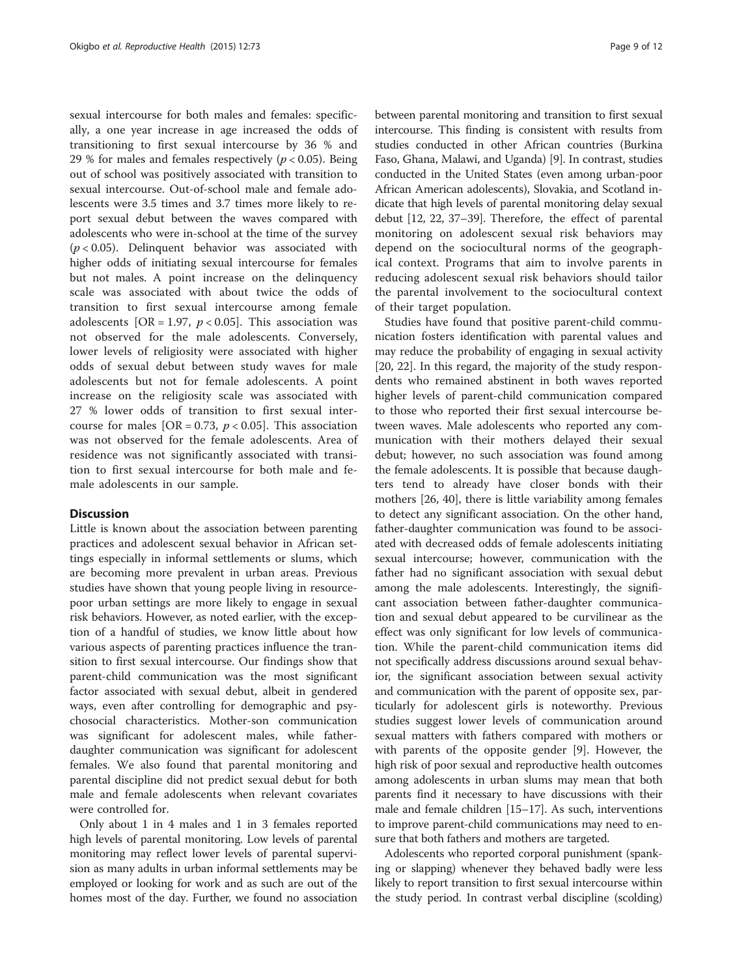sexual intercourse for both males and females: specifically, a one year increase in age increased the odds of transitioning to first sexual intercourse by 36 % and 29 % for males and females respectively ( $p < 0.05$ ). Being out of school was positively associated with transition to sexual intercourse. Out-of-school male and female adolescents were 3.5 times and 3.7 times more likely to report sexual debut between the waves compared with adolescents who were in-school at the time of the survey  $(p < 0.05)$ . Delinquent behavior was associated with higher odds of initiating sexual intercourse for females but not males. A point increase on the delinquency scale was associated with about twice the odds of transition to first sexual intercourse among female adolescents  $[OR = 1.97, p < 0.05]$ . This association was not observed for the male adolescents. Conversely, lower levels of religiosity were associated with higher odds of sexual debut between study waves for male adolescents but not for female adolescents. A point increase on the religiosity scale was associated with 27 % lower odds of transition to first sexual intercourse for males [OR = 0.73,  $p < 0.05$ ]. This association was not observed for the female adolescents. Area of residence was not significantly associated with transition to first sexual intercourse for both male and female adolescents in our sample.

## **Discussion**

Little is known about the association between parenting practices and adolescent sexual behavior in African settings especially in informal settlements or slums, which are becoming more prevalent in urban areas. Previous studies have shown that young people living in resourcepoor urban settings are more likely to engage in sexual risk behaviors. However, as noted earlier, with the exception of a handful of studies, we know little about how various aspects of parenting practices influence the transition to first sexual intercourse. Our findings show that parent-child communication was the most significant factor associated with sexual debut, albeit in gendered ways, even after controlling for demographic and psychosocial characteristics. Mother-son communication was significant for adolescent males, while fatherdaughter communication was significant for adolescent females. We also found that parental monitoring and parental discipline did not predict sexual debut for both male and female adolescents when relevant covariates were controlled for.

Only about 1 in 4 males and 1 in 3 females reported high levels of parental monitoring. Low levels of parental monitoring may reflect lower levels of parental supervision as many adults in urban informal settlements may be employed or looking for work and as such are out of the homes most of the day. Further, we found no association

between parental monitoring and transition to first sexual intercourse. This finding is consistent with results from studies conducted in other African countries (Burkina Faso, Ghana, Malawi, and Uganda) [[9\]](#page-10-0). In contrast, studies conducted in the United States (even among urban-poor African American adolescents), Slovakia, and Scotland indicate that high levels of parental monitoring delay sexual debut [\[12, 22, 37](#page-10-0)–[39\]](#page-10-0). Therefore, the effect of parental monitoring on adolescent sexual risk behaviors may depend on the sociocultural norms of the geographical context. Programs that aim to involve parents in reducing adolescent sexual risk behaviors should tailor the parental involvement to the sociocultural context of their target population.

Studies have found that positive parent-child communication fosters identification with parental values and may reduce the probability of engaging in sexual activity [[20, 22\]](#page-10-0). In this regard, the majority of the study respondents who remained abstinent in both waves reported higher levels of parent-child communication compared to those who reported their first sexual intercourse between waves. Male adolescents who reported any communication with their mothers delayed their sexual debut; however, no such association was found among the female adolescents. It is possible that because daughters tend to already have closer bonds with their mothers [[26, 40\]](#page-10-0), there is little variability among females to detect any significant association. On the other hand, father-daughter communication was found to be associated with decreased odds of female adolescents initiating sexual intercourse; however, communication with the father had no significant association with sexual debut among the male adolescents. Interestingly, the significant association between father-daughter communication and sexual debut appeared to be curvilinear as the effect was only significant for low levels of communication. While the parent-child communication items did not specifically address discussions around sexual behavior, the significant association between sexual activity and communication with the parent of opposite sex, particularly for adolescent girls is noteworthy. Previous studies suggest lower levels of communication around sexual matters with fathers compared with mothers or with parents of the opposite gender [[9\]](#page-10-0). However, the high risk of poor sexual and reproductive health outcomes among adolescents in urban slums may mean that both parents find it necessary to have discussions with their male and female children [\[15](#page-10-0)–[17](#page-10-0)]. As such, interventions to improve parent-child communications may need to ensure that both fathers and mothers are targeted.

Adolescents who reported corporal punishment (spanking or slapping) whenever they behaved badly were less likely to report transition to first sexual intercourse within the study period. In contrast verbal discipline (scolding)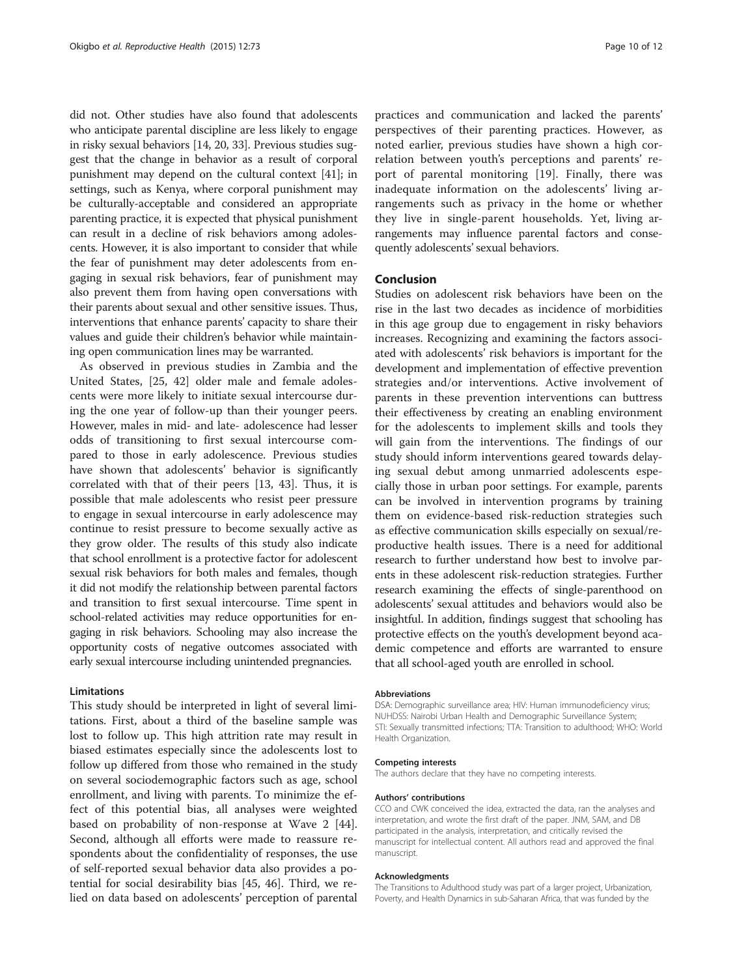did not. Other studies have also found that adolescents who anticipate parental discipline are less likely to engage in risky sexual behaviors [[14, 20, 33](#page-10-0)]. Previous studies suggest that the change in behavior as a result of corporal punishment may depend on the cultural context [\[41\]](#page-10-0); in settings, such as Kenya, where corporal punishment may be culturally-acceptable and considered an appropriate parenting practice, it is expected that physical punishment can result in a decline of risk behaviors among adolescents. However, it is also important to consider that while the fear of punishment may deter adolescents from engaging in sexual risk behaviors, fear of punishment may also prevent them from having open conversations with their parents about sexual and other sensitive issues. Thus, interventions that enhance parents' capacity to share their values and guide their children's behavior while maintaining open communication lines may be warranted.

As observed in previous studies in Zambia and the United States, [\[25,](#page-10-0) [42\]](#page-11-0) older male and female adolescents were more likely to initiate sexual intercourse during the one year of follow-up than their younger peers. However, males in mid- and late- adolescence had lesser odds of transitioning to first sexual intercourse compared to those in early adolescence. Previous studies have shown that adolescents' behavior is significantly correlated with that of their peers [\[13](#page-10-0), [43\]](#page-11-0). Thus, it is possible that male adolescents who resist peer pressure to engage in sexual intercourse in early adolescence may continue to resist pressure to become sexually active as they grow older. The results of this study also indicate that school enrollment is a protective factor for adolescent sexual risk behaviors for both males and females, though it did not modify the relationship between parental factors and transition to first sexual intercourse. Time spent in school-related activities may reduce opportunities for engaging in risk behaviors. Schooling may also increase the opportunity costs of negative outcomes associated with early sexual intercourse including unintended pregnancies.

# Limitations

This study should be interpreted in light of several limitations. First, about a third of the baseline sample was lost to follow up. This high attrition rate may result in biased estimates especially since the adolescents lost to follow up differed from those who remained in the study on several sociodemographic factors such as age, school enrollment, and living with parents. To minimize the effect of this potential bias, all analyses were weighted based on probability of non-response at Wave 2 [\[44](#page-11-0)]. Second, although all efforts were made to reassure respondents about the confidentiality of responses, the use of self-reported sexual behavior data also provides a potential for social desirability bias [[45](#page-11-0), [46](#page-11-0)]. Third, we relied on data based on adolescents' perception of parental

practices and communication and lacked the parents' perspectives of their parenting practices. However, as noted earlier, previous studies have shown a high correlation between youth's perceptions and parents' report of parental monitoring [\[19](#page-10-0)]. Finally, there was inadequate information on the adolescents' living arrangements such as privacy in the home or whether they live in single-parent households. Yet, living arrangements may influence parental factors and consequently adolescents' sexual behaviors.

## Conclusion

Studies on adolescent risk behaviors have been on the rise in the last two decades as incidence of morbidities in this age group due to engagement in risky behaviors increases. Recognizing and examining the factors associated with adolescents' risk behaviors is important for the development and implementation of effective prevention strategies and/or interventions. Active involvement of parents in these prevention interventions can buttress their effectiveness by creating an enabling environment for the adolescents to implement skills and tools they will gain from the interventions. The findings of our study should inform interventions geared towards delaying sexual debut among unmarried adolescents especially those in urban poor settings. For example, parents can be involved in intervention programs by training them on evidence-based risk-reduction strategies such as effective communication skills especially on sexual/reproductive health issues. There is a need for additional research to further understand how best to involve parents in these adolescent risk-reduction strategies. Further research examining the effects of single-parenthood on adolescents' sexual attitudes and behaviors would also be insightful. In addition, findings suggest that schooling has protective effects on the youth's development beyond academic competence and efforts are warranted to ensure that all school-aged youth are enrolled in school.

#### Abbreviations

DSA: Demographic surveillance area; HIV: Human immunodeficiency virus; NUHDSS: Nairobi Urban Health and Demographic Surveillance System; STI: Sexually transmitted infections; TTA: Transition to adulthood; WHO: World Health Organization.

#### Competing interests

The authors declare that they have no competing interests.

## Authors' contributions

CCO and CWK conceived the idea, extracted the data, ran the analyses and interpretation, and wrote the first draft of the paper. JNM, SAM, and DB participated in the analysis, interpretation, and critically revised the manuscript for intellectual content. All authors read and approved the final manuscript.

#### Acknowledgments

The Transitions to Adulthood study was part of a larger project, Urbanization, Poverty, and Health Dynamics in sub-Saharan Africa, that was funded by the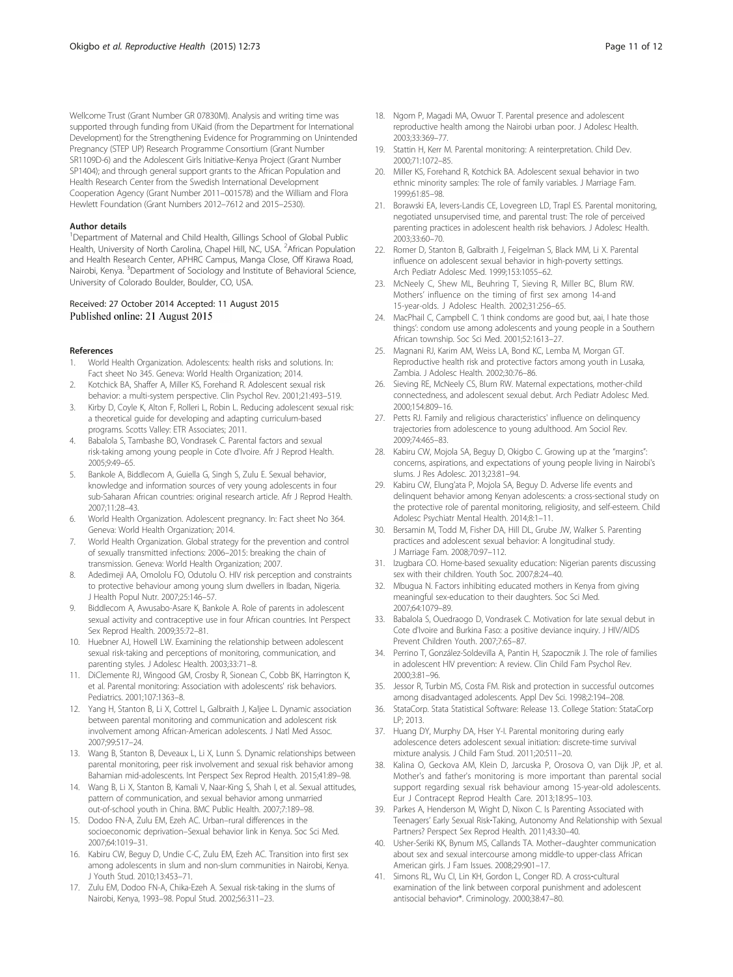<span id="page-10-0"></span>Wellcome Trust (Grant Number GR 07830M). Analysis and writing time was supported through funding from UKaid (from the Department for International Development) for the Strengthening Evidence for Programming on Unintended Pregnancy (STEP UP) Research Programme Consortium (Grant Number SR1109D-6) and the Adolescent Girls Initiative-Kenya Project (Grant Number SP1404); and through general support grants to the African Population and Health Research Center from the Swedish International Development Cooperation Agency (Grant Number 2011–001578) and the William and Flora Hewlett Foundation (Grant Numbers 2012–7612 and 2015–2530).

#### Author details

<sup>1</sup>Department of Maternal and Child Health, Gillings School of Global Public Health, University of North Carolina, Chapel Hill, NC, USA. <sup>2</sup>African Population and Health Research Center, APHRC Campus, Manga Close, Off Kirawa Road, Nairobi, Kenya. <sup>3</sup>Department of Sociology and Institute of Behavioral Science, University of Colorado Boulder, Boulder, CO, USA.

# Received: 27 October 2014 Accepted: 11 August 2015 Published online: 21 August 2015

#### References

- 1. World Health Organization. Adolescents: health risks and solutions. In: Fact sheet No 345. Geneva: World Health Organization; 2014.
- 2. Kotchick BA, Shaffer A, Miller KS, Forehand R. Adolescent sexual risk behavior: a multi-system perspective. Clin Psychol Rev. 2001;21:493–519.
- 3. Kirby D, Coyle K, Alton F, Rolleri L, Robin L. Reducing adolescent sexual risk: a theoretical guide for developing and adapting curriculum-based programs. Scotts Valley: ETR Associates; 2011.
- 4. Babalola S, Tambashe BO, Vondrasek C. Parental factors and sexual risk-taking among young people in Cote d'Ivoire. Afr J Reprod Health. 2005;9:49–65.
- 5. Bankole A, Biddlecom A, Guiella G, Singh S, Zulu E. Sexual behavior, knowledge and information sources of very young adolescents in four sub-Saharan African countries: original research article. Afr J Reprod Health. 2007;11:28–43.
- 6. World Health Organization. Adolescent pregnancy. In: Fact sheet No 364. Geneva: World Health Organization; 2014.
- 7. World Health Organization. Global strategy for the prevention and control of sexually transmitted infections: 2006–2015: breaking the chain of transmission. Geneva: World Health Organization; 2007.
- 8. Adedimeji AA, Omololu FO, Odutolu O. HIV risk perception and constraints to protective behaviour among young slum dwellers in Ibadan, Nigeria. J Health Popul Nutr. 2007;25:146–57.
- Biddlecom A, Awusabo-Asare K, Bankole A. Role of parents in adolescent sexual activity and contraceptive use in four African countries. Int Perspect Sex Reprod Health. 2009;35:72–81.
- 10. Huebner AJ, Howell LW. Examining the relationship between adolescent sexual risk-taking and perceptions of monitoring, communication, and parenting styles. J Adolesc Health. 2003;33:71–8.
- 11. DiClemente RJ, Wingood GM, Crosby R, Sionean C, Cobb BK, Harrington K, et al. Parental monitoring: Association with adolescents' risk behaviors. Pediatrics. 2001;107:1363–8.
- 12. Yang H, Stanton B, Li X, Cottrel L, Galbraith J, Kaljee L. Dynamic association between parental monitoring and communication and adolescent risk involvement among African-American adolescents. J Natl Med Assoc. 2007;99:517–24.
- 13. Wang B, Stanton B, Deveaux L, Li X, Lunn S. Dynamic relationships between parental monitoring, peer risk involvement and sexual risk behavior among Bahamian mid-adolescents. Int Perspect Sex Reprod Health. 2015;41:89–98.
- 14. Wang B, Li X, Stanton B, Kamali V, Naar-King S, Shah I, et al. Sexual attitudes, pattern of communication, and sexual behavior among unmarried out-of-school youth in China. BMC Public Health. 2007;7:189–98.
- 15. Dodoo FN-A, Zulu EM, Ezeh AC. Urban–rural differences in the socioeconomic deprivation–Sexual behavior link in Kenya. Soc Sci Med. 2007;64:1019–31.
- 16. Kabiru CW, Beguy D, Undie C-C, Zulu EM, Ezeh AC. Transition into first sex among adolescents in slum and non-slum communities in Nairobi, Kenya. J Youth Stud. 2010;13:453–71.
- 17. Zulu EM, Dodoo FN-A, Chika-Ezeh A. Sexual risk-taking in the slums of Nairobi, Kenya, 1993–98. Popul Stud. 2002;56:311–23.
- 18. Ngom P, Magadi MA, Owuor T. Parental presence and adolescent reproductive health among the Nairobi urban poor. J Adolesc Health. 2003;33:369–77.
- 19. Stattin H, Kerr M. Parental monitoring: A reinterpretation. Child Dev. 2000;71:1072–85.
- 20. Miller KS, Forehand R, Kotchick BA. Adolescent sexual behavior in two ethnic minority samples: The role of family variables. J Marriage Fam. 1999;61:85–98.
- 21. Borawski EA, Ievers-Landis CE, Lovegreen LD, Trapl ES. Parental monitoring, negotiated unsupervised time, and parental trust: The role of perceived parenting practices in adolescent health risk behaviors. J Adolesc Health. 2003;33:60–70.
- 22. Romer D, Stanton B, Galbraith J, Feigelman S, Black MM, Li X. Parental influence on adolescent sexual behavior in high-poverty settings. Arch Pediatr Adolesc Med. 1999;153:1055–62.
- 23. McNeely C, Shew ML, Beuhring T, Sieving R, Miller BC, Blum RW. Mothers' influence on the timing of first sex among 14-and 15-year-olds. J Adolesc Health. 2002;31:256–65.
- 24. MacPhail C, Campbell C. 'I think condoms are good but, aai, I hate those things': condom use among adolescents and young people in a Southern African township. Soc Sci Med. 2001;52:1613–27.
- 25. Magnani RJ, Karim AM, Weiss LA, Bond KC, Lemba M, Morgan GT. Reproductive health risk and protective factors among youth in Lusaka, Zambia. J Adolesc Health. 2002;30:76–86.
- 26. Sieving RE, McNeely CS, Blum RW. Maternal expectations, mother-child connectedness, and adolescent sexual debut. Arch Pediatr Adolesc Med. 2000;154:809–16.
- 27. Petts RJ. Family and religious characteristics' influence on delinquency trajectories from adolescence to young adulthood. Am Sociol Rev. 2009;74:465–83.
- 28. Kabiru CW, Mojola SA, Beguy D, Okigbo C. Growing up at the "margins": concerns, aspirations, and expectations of young people living in Nairobi's slums. J Res Adolesc. 2013;23:81–94.
- 29. Kabiru CW, Elung'ata P, Mojola SA, Beguy D. Adverse life events and delinquent behavior among Kenyan adolescents: a cross-sectional study on the protective role of parental monitoring, religiosity, and self-esteem. Child Adolesc Psychiatr Mental Health. 2014;8:1–11.
- 30. Bersamin M, Todd M, Fisher DA, Hill DL, Grube JW, Walker S. Parenting practices and adolescent sexual behavior: A longitudinal study. J Marriage Fam. 2008;70:97–112.
- 31. Izugbara CO. Home-based sexuality education: Nigerian parents discussing sex with their children. Youth Soc. 2007;8:24–40.
- 32. Mbugua N. Factors inhibiting educated mothers in Kenya from giving meaningful sex-education to their daughters. Soc Sci Med. 2007;64:1079–89.
- 33. Babalola S, Ouedraogo D, Vondrasek C. Motivation for late sexual debut in Cote d'Ivoire and Burkina Faso: a positive deviance inquiry. J HIV/AIDS Prevent Children Youth. 2007;7:65–87.
- 34. Perrino T, González-Soldevilla A, Pantin H, Szapocznik J. The role of families in adolescent HIV prevention: A review. Clin Child Fam Psychol Rev. 2000;3:81–96.
- 35. Jessor R, Turbin MS, Costa FM. Risk and protection in successful outcomes among disadvantaged adolescents. Appl Dev Sci. 1998;2:194–208.
- 36. StataCorp. Stata Statistical Software: Release 13. College Station: StataCorp LP; 2013.
- 37. Huang DY, Murphy DA, Hser Y-I. Parental monitoring during early adolescence deters adolescent sexual initiation: discrete-time survival mixture analysis. J Child Fam Stud. 2011;20:511–20.
- 38. Kalina O, Geckova AM, Klein D, Jarcuska P, Orosova O, van Dijk JP, et al. Mother's and father's monitoring is more important than parental social support regarding sexual risk behaviour among 15-year-old adolescents. Eur J Contracept Reprod Health Care. 2013;18:95–103.
- 39. Parkes A, Henderson M, Wight D, Nixon C. Is Parenting Associated with Teenagers' Early Sexual Risk‐Taking, Autonomy And Relationship with Sexual Partners? Perspect Sex Reprod Health. 2011;43:30–40.
- 40. Usher-Seriki KK, Bynum MS, Callands TA. Mother–daughter communication about sex and sexual intercourse among middle-to upper-class African American girls. J Fam Issues. 2008;29:901–17.
- 41. Simons RL, Wu Cl, Lin KH, Gordon L, Conger RD. A cross-cultural examination of the link between corporal punishment and adolescent antisocial behavior\*. Criminology. 2000;38:47–80.